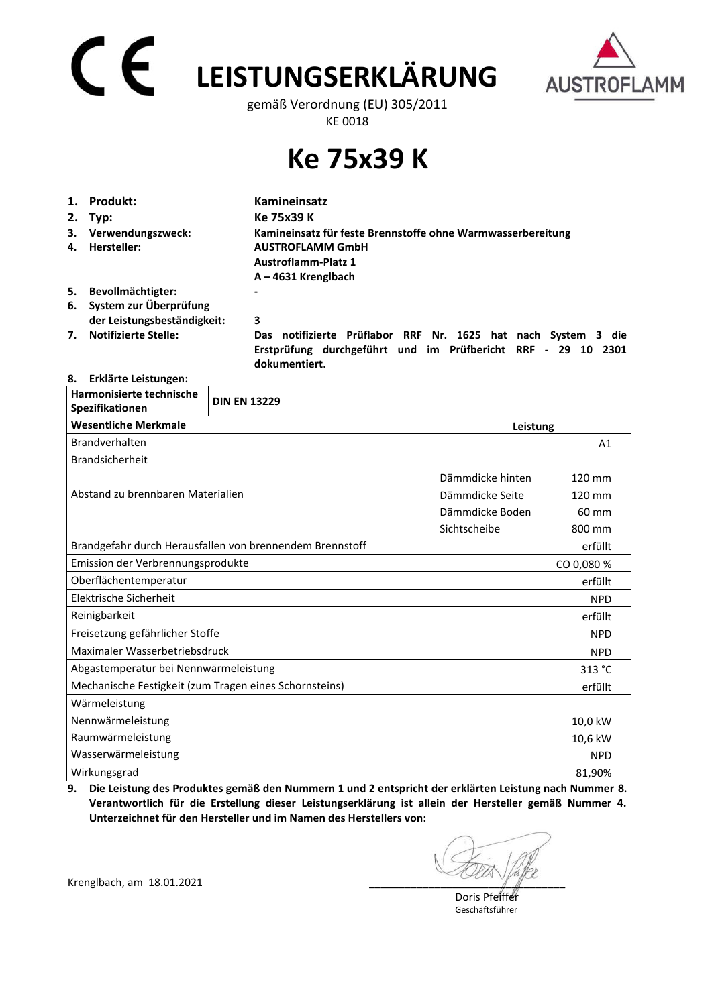# **LEISTUNGSERKLÄRUNG**  gemäß Verordnung (EU) 305/2011



KE 0018

## **Ke 75x39 K**

|    | 1. Produkt:                 | Kamineinsatz                                                                                                                                   |  |  |
|----|-----------------------------|------------------------------------------------------------------------------------------------------------------------------------------------|--|--|
|    | $2.$ Typ:                   | Ke 75x39 K                                                                                                                                     |  |  |
|    | 3. Verwendungszweck:        | Kamineinsatz für feste Brennstoffe ohne Warmwasserbereitung                                                                                    |  |  |
| 4. | Hersteller:                 | <b>AUSTROFLAMM GmbH</b><br><b>Austroflamm-Platz 1</b>                                                                                          |  |  |
|    |                             | $A - 4631$ Krenglbach                                                                                                                          |  |  |
| 5. | Bevollmächtigter:           | -                                                                                                                                              |  |  |
|    | 6. System zur Überprüfung   |                                                                                                                                                |  |  |
|    | der Leistungsbeständigkeit: | 3                                                                                                                                              |  |  |
| 7. | <b>Notifizierte Stelle:</b> | Das notifizierte Prüflabor RRF Nr. 1625 hat nach System 3 die<br>Erstprüfung durchgeführt und im Prüfbericht RRF - 29 10 2301<br>dokumentiert. |  |  |

### **8. Erklärte Leistungen:**

| Harmonisierte technische<br>Spezifikationen            | <b>DIN EN 13229</b>                                      |                  |                  |  |
|--------------------------------------------------------|----------------------------------------------------------|------------------|------------------|--|
| <b>Wesentliche Merkmale</b>                            |                                                          |                  | Leistung         |  |
| Brandverhalten                                         |                                                          |                  | A <sub>1</sub>   |  |
| <b>Brandsicherheit</b>                                 |                                                          |                  |                  |  |
|                                                        |                                                          | Dämmdicke hinten | $120 \text{ mm}$ |  |
| Abstand zu brennbaren Materialien                      |                                                          | Dämmdicke Seite  | 120 mm           |  |
|                                                        |                                                          | Dämmdicke Boden  | 60 mm            |  |
|                                                        |                                                          | Sichtscheibe     | 800 mm           |  |
|                                                        | Brandgefahr durch Herausfallen von brennendem Brennstoff |                  | erfüllt          |  |
| Emission der Verbrennungsprodukte                      |                                                          |                  | CO 0,080 %       |  |
| Oberflächentemperatur                                  |                                                          |                  | erfüllt          |  |
| Elektrische Sicherheit                                 |                                                          |                  | <b>NPD</b>       |  |
| Reinigbarkeit                                          |                                                          |                  | erfüllt          |  |
| Freisetzung gefährlicher Stoffe                        |                                                          |                  | <b>NPD</b>       |  |
| Maximaler Wasserbetriebsdruck                          |                                                          |                  | <b>NPD</b>       |  |
| Abgastemperatur bei Nennwärmeleistung                  |                                                          |                  | 313 °C           |  |
| Mechanische Festigkeit (zum Tragen eines Schornsteins) |                                                          |                  | erfüllt          |  |
| Wärmeleistung                                          |                                                          |                  |                  |  |
| Nennwärmeleistung                                      |                                                          |                  | 10,0 kW          |  |
| Raumwärmeleistung                                      |                                                          |                  | 10,6 kW          |  |
| Wasserwärmeleistung                                    |                                                          |                  | <b>NPD</b>       |  |
| Wirkungsgrad                                           |                                                          |                  | 81,90%           |  |

**9. Die Leistung des Produktes gemäß den Nummern 1 und 2 entspricht der erklärten Leistung nach Nummer 8. Verantwortlich für die Erstellung dieser Leistungserklärung ist allein der Hersteller gemäß Nummer 4. Unterzeichnet für den Hersteller und im Namen des Herstellers von:** 

Krenglbach, am 18.01.2021

 Doris Pfeiffer Geschäftsführer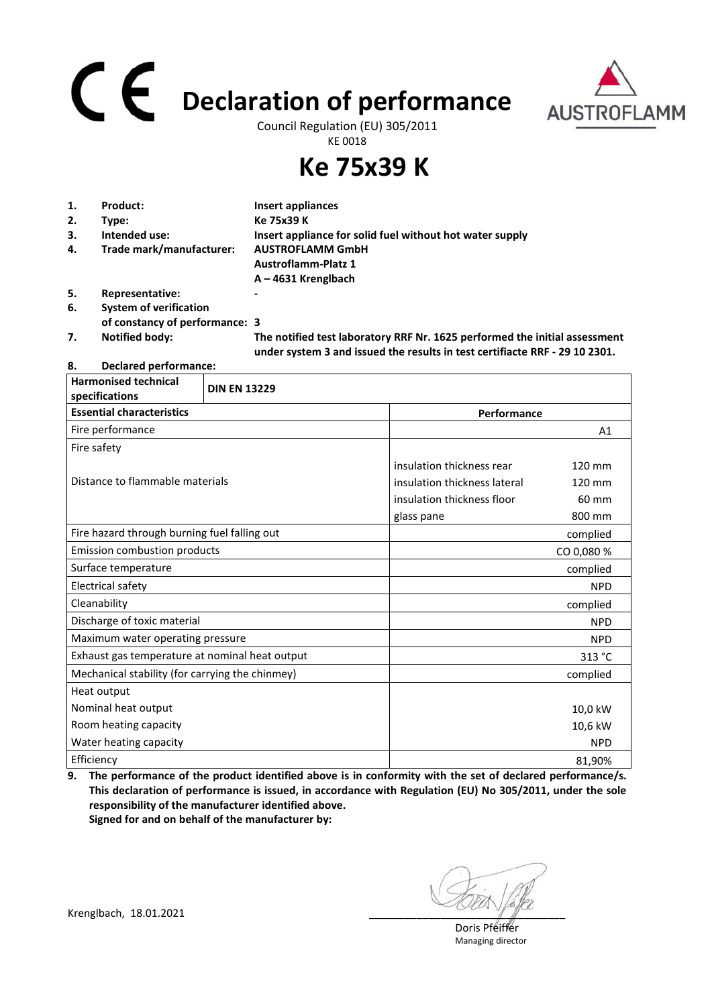# **Declaration of performance**



Council Regulation (EU) 305/2011 KE 0018

**Ke 75x39 K**

| 1. | Product:                       | Insert appliances                                                                                                                                         |
|----|--------------------------------|-----------------------------------------------------------------------------------------------------------------------------------------------------------|
| 2. | Type:                          | Ke 75x39 K                                                                                                                                                |
| 3. | Intended use:                  | Insert appliance for solid fuel without hot water supply                                                                                                  |
| 4. | Trade mark/manufacturer:       | <b>AUSTROFLAMM GmbH</b>                                                                                                                                   |
|    |                                | <b>Austroflamm-Platz 1</b>                                                                                                                                |
|    |                                | $A - 4631$ Krenglbach                                                                                                                                     |
| 5. | Representative:                |                                                                                                                                                           |
| 6. | <b>System of verification</b>  |                                                                                                                                                           |
|    | of constancy of performance: 3 |                                                                                                                                                           |
| 7. | <b>Notified body:</b>          | The notified test laboratory RRF Nr. 1625 performed the initial assessment<br>under system 3 and issued the results in test certifiacte RRF - 29 10 2301. |

**8. Declared performance:** 

| <b>Harmonised technical</b><br>specifications   | <b>DIN EN 13229</b> |                              |            |
|-------------------------------------------------|---------------------|------------------------------|------------|
| <b>Essential characteristics</b>                |                     | Performance                  |            |
| Fire performance                                |                     |                              | A1         |
| Fire safety                                     |                     |                              |            |
|                                                 |                     | insulation thickness rear    | 120 mm     |
| Distance to flammable materials                 |                     | insulation thickness lateral | 120 mm     |
|                                                 |                     | insulation thickness floor   | 60 mm      |
|                                                 |                     | glass pane                   | 800 mm     |
| Fire hazard through burning fuel falling out    |                     |                              | complied   |
| <b>Emission combustion products</b>             |                     |                              | CO 0,080 % |
| Surface temperature                             |                     |                              | complied   |
| Electrical safety                               |                     |                              | <b>NPD</b> |
| Cleanability                                    |                     |                              | complied   |
| Discharge of toxic material                     |                     |                              | <b>NPD</b> |
| Maximum water operating pressure                |                     |                              | <b>NPD</b> |
| Exhaust gas temperature at nominal heat output  |                     |                              | 313 °C     |
| Mechanical stability (for carrying the chinmey) |                     |                              | complied   |
| Heat output                                     |                     |                              |            |
| Nominal heat output                             |                     |                              | 10,0 kW    |
| Room heating capacity                           |                     |                              | 10,6 kW    |
| Water heating capacity                          |                     |                              | <b>NPD</b> |
| Efficiency                                      |                     |                              | 81,90%     |

**9. The performance of the product identified above is in conformity with the set of declared performance/s. This declaration of performance is issued, in accordance with Regulation (EU) No 305/2011, under the sole responsibility of the manufacturer identified above. Signed for and on behalf of the manufacturer by:**

 Doris Pfeiffer Managing director

Krenglbach, 18.01.2021